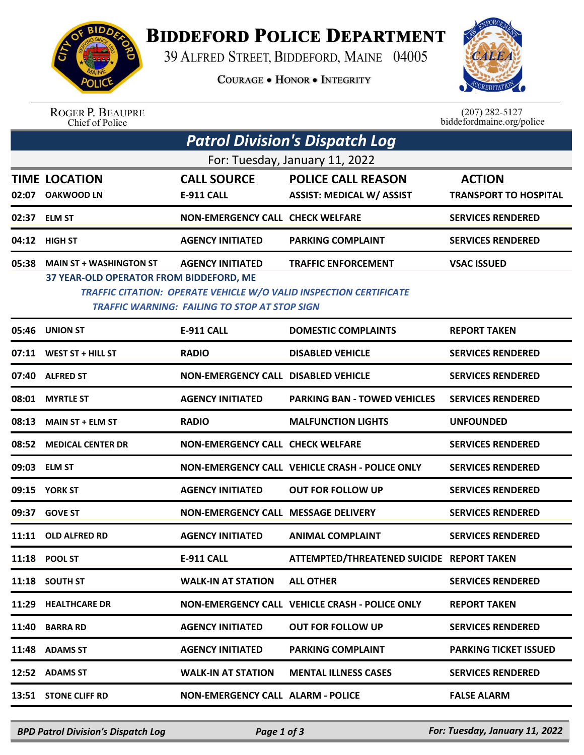

## **BIDDEFORD POLICE DEPARTMENT**

39 ALFRED STREET, BIDDEFORD, MAINE 04005

**COURAGE . HONOR . INTEGRITY** 



ROGER P. BEAUPRE<br>Chief of Police

 $(207)$  282-5127<br>biddefordmaine.org/police

| <b>Patrol Division's Dispatch Log</b> |                                                                                                                                                                                                                                                                                               |                                            |                                                               |                                               |  |  |  |  |
|---------------------------------------|-----------------------------------------------------------------------------------------------------------------------------------------------------------------------------------------------------------------------------------------------------------------------------------------------|--------------------------------------------|---------------------------------------------------------------|-----------------------------------------------|--|--|--|--|
| For: Tuesday, January 11, 2022        |                                                                                                                                                                                                                                                                                               |                                            |                                                               |                                               |  |  |  |  |
|                                       | <b>TIME LOCATION</b><br>02:07 OAKWOOD LN                                                                                                                                                                                                                                                      | <b>CALL SOURCE</b><br><b>E-911 CALL</b>    | <b>POLICE CALL REASON</b><br><b>ASSIST: MEDICAL W/ ASSIST</b> | <b>ACTION</b><br><b>TRANSPORT TO HOSPITAL</b> |  |  |  |  |
|                                       | 02:37 ELM ST                                                                                                                                                                                                                                                                                  | <b>NON-EMERGENCY CALL CHECK WELFARE</b>    |                                                               | <b>SERVICES RENDERED</b>                      |  |  |  |  |
|                                       | 04:12 HIGH ST                                                                                                                                                                                                                                                                                 | <b>AGENCY INITIATED</b>                    | <b>PARKING COMPLAINT</b>                                      | <b>SERVICES RENDERED</b>                      |  |  |  |  |
| 05:38                                 | <b>MAIN ST + WASHINGTON ST</b><br><b>AGENCY INITIATED</b><br><b>TRAFFIC ENFORCEMENT</b><br><b>VSAC ISSUED</b><br><b>37 YEAR-OLD OPERATOR FROM BIDDEFORD, ME</b><br><b>TRAFFIC CITATION: OPERATE VEHICLE W/O VALID INSPECTION CERTIFICATE</b><br>TRAFFIC WARNING: FAILING TO STOP AT STOP SIGN |                                            |                                                               |                                               |  |  |  |  |
| 05:46                                 | <b>UNION ST</b>                                                                                                                                                                                                                                                                               | <b>E-911 CALL</b>                          | <b>DOMESTIC COMPLAINTS</b>                                    | <b>REPORT TAKEN</b>                           |  |  |  |  |
| 07:11                                 | WEST ST + HILL ST                                                                                                                                                                                                                                                                             | <b>RADIO</b>                               | <b>DISABLED VEHICLE</b>                                       | <b>SERVICES RENDERED</b>                      |  |  |  |  |
| 07:40                                 | <b>ALFRED ST</b>                                                                                                                                                                                                                                                                              | <b>NON-EMERGENCY CALL DISABLED VEHICLE</b> |                                                               | <b>SERVICES RENDERED</b>                      |  |  |  |  |
| 08:01                                 | <b>MYRTLE ST</b>                                                                                                                                                                                                                                                                              | <b>AGENCY INITIATED</b>                    | <b>PARKING BAN - TOWED VEHICLES</b>                           | <b>SERVICES RENDERED</b>                      |  |  |  |  |
| 08:13                                 | <b>MAIN ST + ELM ST</b>                                                                                                                                                                                                                                                                       | <b>RADIO</b>                               | <b>MALFUNCTION LIGHTS</b>                                     | <b>UNFOUNDED</b>                              |  |  |  |  |
| 08:52                                 | <b>MEDICAL CENTER DR</b>                                                                                                                                                                                                                                                                      | <b>NON-EMERGENCY CALL CHECK WELFARE</b>    |                                                               | <b>SERVICES RENDERED</b>                      |  |  |  |  |
|                                       | 09:03 ELM ST                                                                                                                                                                                                                                                                                  |                                            | NON-EMERGENCY CALL VEHICLE CRASH - POLICE ONLY                | <b>SERVICES RENDERED</b>                      |  |  |  |  |
|                                       | 09:15 YORK ST                                                                                                                                                                                                                                                                                 | <b>AGENCY INITIATED</b>                    | <b>OUT FOR FOLLOW UP</b>                                      | <b>SERVICES RENDERED</b>                      |  |  |  |  |
| 09:37                                 | <b>GOVE ST</b>                                                                                                                                                                                                                                                                                | NON-EMERGENCY CALL MESSAGE DELIVERY        |                                                               | <b>SERVICES RENDERED</b>                      |  |  |  |  |
|                                       | 11:11 OLD ALFRED RD                                                                                                                                                                                                                                                                           | <b>AGENCY INITIATED</b>                    | <b>ANIMAL COMPLAINT</b>                                       | <b>SERVICES RENDERED</b>                      |  |  |  |  |
|                                       | 11:18 POOL ST                                                                                                                                                                                                                                                                                 | <b>E-911 CALL</b>                          | ATTEMPTED/THREATENED SUICIDE REPORT TAKEN                     |                                               |  |  |  |  |
|                                       | 11:18 SOUTH ST                                                                                                                                                                                                                                                                                | <b>WALK-IN AT STATION</b>                  | <b>ALL OTHER</b>                                              | <b>SERVICES RENDERED</b>                      |  |  |  |  |
|                                       | 11:29 HEALTHCARE DR                                                                                                                                                                                                                                                                           |                                            | NON-EMERGENCY CALL VEHICLE CRASH - POLICE ONLY                | <b>REPORT TAKEN</b>                           |  |  |  |  |
| 11:40                                 | <b>BARRA RD</b>                                                                                                                                                                                                                                                                               | <b>AGENCY INITIATED</b>                    | <b>OUT FOR FOLLOW UP</b>                                      | <b>SERVICES RENDERED</b>                      |  |  |  |  |
|                                       | 11:48 ADAMS ST                                                                                                                                                                                                                                                                                | <b>AGENCY INITIATED</b>                    | <b>PARKING COMPLAINT</b>                                      | <b>PARKING TICKET ISSUED</b>                  |  |  |  |  |
|                                       | 12:52 ADAMS ST                                                                                                                                                                                                                                                                                | <b>WALK-IN AT STATION</b>                  | <b>MENTAL ILLNESS CASES</b>                                   | <b>SERVICES RENDERED</b>                      |  |  |  |  |
|                                       | 13:51 STONE CLIFF RD                                                                                                                                                                                                                                                                          | <b>NON-EMERGENCY CALL ALARM - POLICE</b>   |                                                               | <b>FALSE ALARM</b>                            |  |  |  |  |

*BPD Patrol Division's Dispatch Log Page 1 of 3 For: Tuesday, January 11, 2022*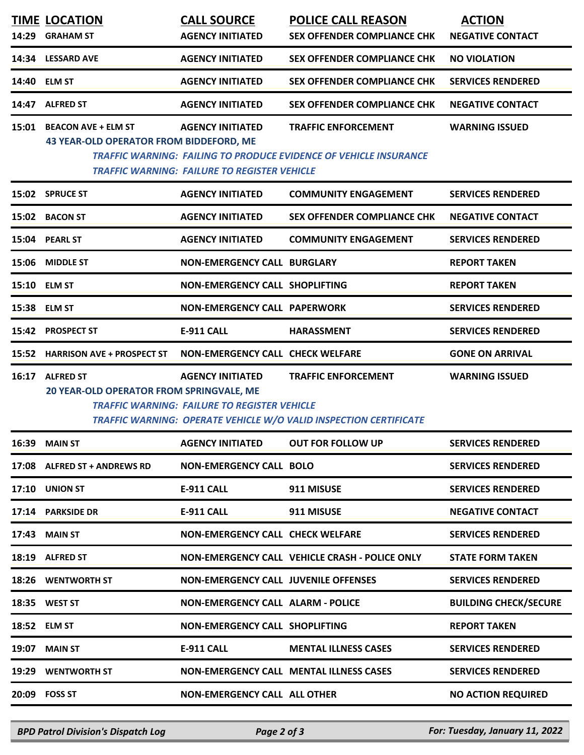|       | <b>TIME LOCATION</b>                                                        | <b>CALL SOURCE</b>                                                             | <b>POLICE CALL REASON</b>                                                                              | <b>ACTION</b>                |
|-------|-----------------------------------------------------------------------------|--------------------------------------------------------------------------------|--------------------------------------------------------------------------------------------------------|------------------------------|
| 14:29 | <b>GRAHAM ST</b>                                                            | <b>AGENCY INITIATED</b>                                                        | <b>SEX OFFENDER COMPLIANCE CHK</b>                                                                     | <b>NEGATIVE CONTACT</b>      |
|       | 14:34 LESSARD AVE                                                           | <b>AGENCY INITIATED</b>                                                        | <b>SEX OFFENDER COMPLIANCE CHK</b>                                                                     | <b>NO VIOLATION</b>          |
| 14:40 | <b>ELM ST</b>                                                               | <b>AGENCY INITIATED</b>                                                        | <b>SEX OFFENDER COMPLIANCE CHK</b>                                                                     | <b>SERVICES RENDERED</b>     |
| 14:47 | <b>ALFRED ST</b>                                                            | <b>AGENCY INITIATED</b>                                                        | <b>SEX OFFENDER COMPLIANCE CHK</b>                                                                     | <b>NEGATIVE CONTACT</b>      |
|       | 15:01 BEACON AVE + ELM ST<br><b>43 YEAR-OLD OPERATOR FROM BIDDEFORD, ME</b> | <b>AGENCY INITIATED</b><br><b>TRAFFIC WARNING: FAILURE TO REGISTER VEHICLE</b> | <b>TRAFFIC ENFORCEMENT</b><br><b>TRAFFIC WARNING: FAILING TO PRODUCE EVIDENCE OF VEHICLE INSURANCE</b> | <b>WARNING ISSUED</b>        |
|       | 15:02 SPRUCE ST                                                             | <b>AGENCY INITIATED</b>                                                        | <b>COMMUNITY ENGAGEMENT</b>                                                                            | <b>SERVICES RENDERED</b>     |
|       | 15:02 BACON ST                                                              | <b>AGENCY INITIATED</b>                                                        | <b>SEX OFFENDER COMPLIANCE CHK</b>                                                                     | <b>NEGATIVE CONTACT</b>      |
|       | 15:04 PEARL ST                                                              | <b>AGENCY INITIATED</b>                                                        | <b>COMMUNITY ENGAGEMENT</b>                                                                            | <b>SERVICES RENDERED</b>     |
|       | 15:06 MIDDLE ST                                                             | <b>NON-EMERGENCY CALL BURGLARY</b>                                             |                                                                                                        | <b>REPORT TAKEN</b>          |
|       | 15:10 ELM ST                                                                | <b>NON-EMERGENCY CALL SHOPLIFTING</b>                                          |                                                                                                        | <b>REPORT TAKEN</b>          |
|       | 15:38 ELM ST                                                                | <b>NON-EMERGENCY CALL PAPERWORK</b>                                            |                                                                                                        | <b>SERVICES RENDERED</b>     |
| 15:42 | <b>PROSPECT ST</b>                                                          | <b>E-911 CALL</b>                                                              | <b>HARASSMENT</b>                                                                                      | <b>SERVICES RENDERED</b>     |
|       | 15:52 HARRISON AVE + PROSPECT ST                                            | <b>NON-EMERGENCY CALL CHECK WELFARE</b>                                        |                                                                                                        | <b>GONE ON ARRIVAL</b>       |
| 16:17 | <b>ALFRED ST</b><br>20 YEAR-OLD OPERATOR FROM SPRINGVALE, ME                | <b>AGENCY INITIATED</b><br><b>TRAFFIC WARNING: FAILURE TO REGISTER VEHICLE</b> | <b>TRAFFIC ENFORCEMENT</b><br>TRAFFIC WARNING: OPERATE VEHICLE W/O VALID INSPECTION CERTIFICATE        | <b>WARNING ISSUED</b>        |
|       | <b>16:39 MAIN ST</b>                                                        | <b>AGENCY INITIATED</b>                                                        | <b>OUT FOR FOLLOW UP</b>                                                                               | <b>SERVICES RENDERED</b>     |
|       | 17:08 ALFRED ST + ANDREWS RD                                                | <b>NON-EMERGENCY CALL BOLO</b>                                                 |                                                                                                        | <b>SERVICES RENDERED</b>     |
|       | 17:10 UNION ST                                                              | E-911 CALL                                                                     | 911 MISUSE                                                                                             | <b>SERVICES RENDERED</b>     |
|       | 17:14 PARKSIDE DR                                                           | E-911 CALL                                                                     | 911 MISUSE                                                                                             | <b>NEGATIVE CONTACT</b>      |
|       | 17:43 MAIN ST                                                               | <b>NON-EMERGENCY CALL CHECK WELFARE</b>                                        |                                                                                                        | <b>SERVICES RENDERED</b>     |
|       | 18:19 ALFRED ST                                                             |                                                                                | NON-EMERGENCY CALL VEHICLE CRASH - POLICE ONLY                                                         | <b>STATE FORM TAKEN</b>      |
|       | 18:26 WENTWORTH ST                                                          | <b>NON-EMERGENCY CALL JUVENILE OFFENSES</b>                                    |                                                                                                        | <b>SERVICES RENDERED</b>     |
|       | 18:35 WEST ST                                                               | <b>NON-EMERGENCY CALL ALARM - POLICE</b>                                       |                                                                                                        | <b>BUILDING CHECK/SECURE</b> |
|       | 18:52 ELM ST                                                                | <b>NON-EMERGENCY CALL SHOPLIFTING</b>                                          |                                                                                                        | <b>REPORT TAKEN</b>          |
| 19:07 | <b>MAIN ST</b>                                                              | E-911 CALL                                                                     | <b>MENTAL ILLNESS CASES</b>                                                                            | <b>SERVICES RENDERED</b>     |
|       | 19:29 WENTWORTH ST                                                          |                                                                                | <b>NON-EMERGENCY CALL MENTAL ILLNESS CASES</b>                                                         | <b>SERVICES RENDERED</b>     |
|       | 20:09 FOSS ST                                                               | <b>NON-EMERGENCY CALL ALL OTHER</b>                                            |                                                                                                        | <b>NO ACTION REQUIRED</b>    |
|       |                                                                             |                                                                                |                                                                                                        |                              |

*BPD Patrol Division's Dispatch Log Page 2 of 3 For: Tuesday, January 11, 2022*